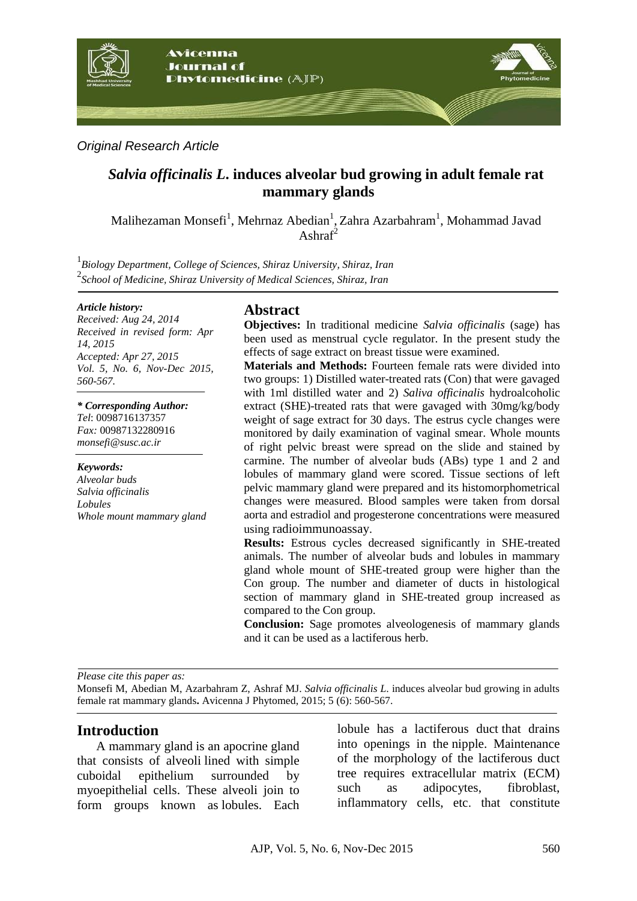

*Original Research Article*

# *[Salvia officinalis L](http://www.theplantlist.org/tpl1.1/record/kew-183353)***. induces alveolar bud growing in adult female rat mammary glands**

Malihezaman Monsefi<sup>1</sup>, Mehrnaz Abedian<sup>1</sup>, Zahra Azarbahram<sup>1</sup>, Mohammad Javad Ashra $f^2$ 

1 *Biology Department, College of Sciences, Shiraz University, Shiraz, Iran* 2 *School of Medicine, Shiraz University of Medical Sciences, Shiraz, Iran*

#### *Article history:*

*Received: Aug 24, 2014 Received in revised form: Apr 14, 2015 Accepted: Apr 27, 2015 Vol. 5, No. 6, Nov-Dec 2015, 560-567.*

*\* Corresponding Author: Tel*: 0098716137357 *Fax:* 00987132280916 *monsefi@susc.ac.ir* 

*Keywords: Alveolar buds Salvia officinalis Lobules Whole mount mammary gland*

## **Abstract**

**Objectives:** In traditional medicine *Salvia officinalis* (sage) has been used as menstrual cycle regulator. In the present study the effects of sage extract on breast tissue were examined.

**Materials and Methods:** Fourteen female rats were divided into two groups: 1) Distilled water-treated rats (Con) that were gavaged with 1ml distilled water and 2) *Saliva officinalis* hydroalcoholic extract (SHE)-treated rats that were gavaged with 30mg/kg/body weight of sage extract for 30 days. The estrus cycle changes were monitored by daily examination of vaginal smear. Whole mounts of right pelvic breast were spread on the slide and stained by carmine. The number of alveolar buds (ABs) type 1 and 2 and lobules of mammary gland were scored. Tissue sections of left pelvic mammary gland were prepared and its histomorphometrical changes were measured. Blood samples were taken from dorsal aorta and estradiol and progesterone concentrations were measured using radioimmunoassay.

**Results:** Estrous cycles decreased significantly in SHE-treated animals. The number of alveolar buds and lobules in mammary gland whole mount of SHE-treated group were higher than the Con group. The number and diameter of ducts in histological section of mammary gland in SHE-treated group increased as compared to the Con group.

**Conclusion:** Sage promotes alveologenesis of mammary glands and it can be used as a lactiferous herb.

*Please cite this paper as:* 

Monsefi M, Abedian M, Azarbahram Z, Ashraf MJ. *[Salvia officinalis L](http://www.theplantlist.org/tpl1.1/record/kew-183353)*. induces alveolar bud growing in adults female rat mammary glands**.** Avicenna J Phytomed, 2015; 5 (6): 560-567.

## **Introduction**

A mammary gland is an [apocrine](http://en.wikipedia.org/wiki/Apocrine) gland that consists of alveoli lined with simple [cuboidal epithelium](http://en.wikipedia.org/wiki/Cuboidal_cells) surrounded by [myoepithelial cells.](http://en.wikipedia.org/wiki/Myoepithelial_cell) These alveoli join to form groups known as lobules. Each lobule has a [lactiferous duct](http://en.wikipedia.org/wiki/Lactiferous_duct) that drains into openings in the [nipple.](http://en.wikipedia.org/wiki/Nipple) Maintenance of the morphology of the lactiferous duct tree requires [extracellular matrix](http://en.wikipedia.org/wiki/Extracellular_matrix) (ECM) such as [adipocytes,](http://en.wikipedia.org/wiki/Adipocyte) [fibroblast,](http://en.wikipedia.org/wiki/Fibroblast) inflammatory cells, etc. that constitute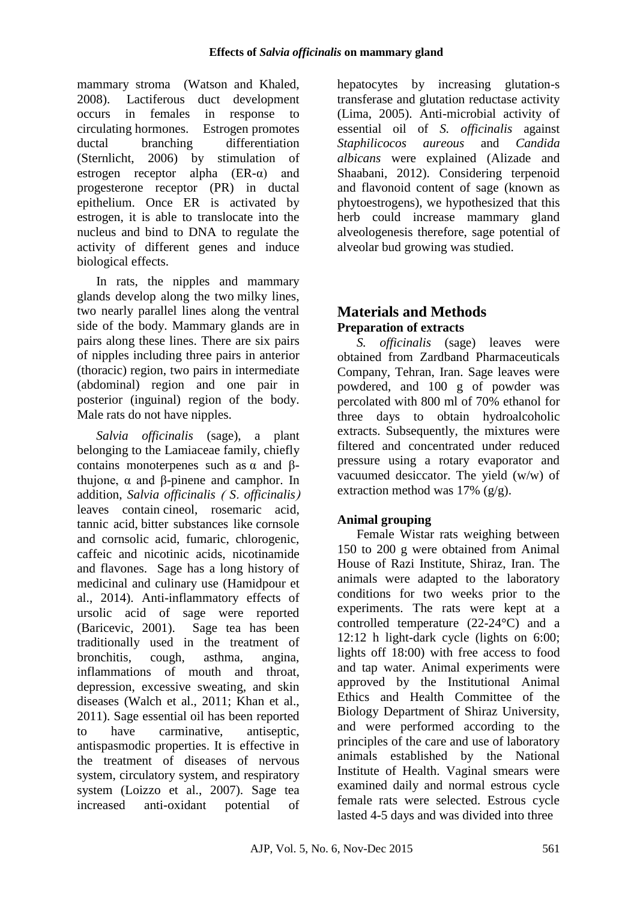mammary stroma [\(Watson and Khaled,](http://en.wikipedia.org/wiki/Mammary_gland#cite_note-Watson.2C_C.J._2008-7)  [2008\).](http://en.wikipedia.org/wiki/Mammary_gland#cite_note-Watson.2C_C.J._2008-7) Lactiferous duct development occurs in females in response to circulating [hormones.](http://en.wikipedia.org/wiki/Hormones) [Estrogen](http://en.wikipedia.org/wiki/Estrogen) promotes ductal branching differentiation (Sternlicht, 2006) by stimulation of estrogen receptor alpha  $(ER-\alpha)$  and progesterone receptor (PR) in ductal epithelium. Once ER is activated by estrogen, it is able to translocate into the nucleus and bind to DNA to regulate the activity of different genes and induce biological effects.

In rats, the nipples and mammary glands develop along the two [milky lines,](http://en.wikipedia.org/wiki/Milk_line) two nearly parallel lines along the [ventral](http://en.wikipedia.org/wiki/Ventral) side of the body. Mammary glands are in pairs along these lines. There are six pairs of nipples including three pairs in anterior (thoracic) region, two pairs in intermediate (abdominal) region and one pair in posterior (inguinal) region of the body. Male rats do not have nipples.

*Salvia officinalis* (sage), a plant belonging to the Lamiaceae family, chiefly contains monoterpenes such as  $\alpha$  and  $\beta$ thujone, α and β-pinene and camphor. In addition, *Salvia officinalis* ) *S*. *officinalis*( leaves contain cineol, rosemaric acid, tannic acid, bitter substances like cornsole and cornsolic acid, fumaric, chlorogenic, caffeic and nicotinic acids, nicotinamide and flavones. Sage has a long history of medicinal and culinary use (Hamidpour et al., 2014). Anti-inflammatory effects of ursolic acid of sage were reported (Baricevic, 2001). Sage tea has been traditionally used in the treatment of bronchitis, cough, asthma, angina, inflammations of mouth and throat, depression, excessive sweating, and skin diseases (Walch et al., 2011; Khan et al., 2011). Sage essential oil has been reported to have carminative, antiseptic, antispasmodic properties. It is effective in the treatment of diseases of nervous system, circulatory system, and respiratory system (Loizzo et al., 2007). Sage tea increased anti-oxidant potential of

hepatocytes by increasing glutation-s transferase and glutation reductase activity (Lima, 2005). Anti-microbial activity of essential oil of *S. officinalis* against *Staphilicocos aureous* and *Candida albicans* were explained (Alizade and Shaabani, 2012). Considering terpenoid and flavonoid content of sage (known as phytoestrogens), we hypothesized that this herb could increase mammary gland alveologenesis therefore, sage potential of alveolar bud growing was studied.

# **Materials and Methods Preparation of extracts**

*S. officinalis* (sage) leaves were obtained from Zardband Pharmaceuticals Company, Tehran, Iran. Sage leaves were powdered, and 100 g of powder was percolated with 800 ml of 70% ethanol for three days to obtain hydroalcoholic extracts. Subsequently, the mixtures were filtered and concentrated under reduced pressure using a rotary evaporator and vacuumed desiccator. The yield (w/w) of extraction method was  $17\%$  (g/g).

## **Animal grouping**

Female Wistar rats weighing between 150 to 200 g were obtained from Animal House of Razi Institute, Shiraz, Iran. The animals were adapted to the laboratory conditions for two weeks prior to the experiments. The rats were kept at a controlled temperature (22-24°C) and a 12:12 h light-dark cycle (lights on 6:00; lights off 18:00) with free access to food and tap water. Animal experiments were approved by the Institutional Animal Ethics and Health Committee of the Biology Department of Shiraz University, and were performed according to the principles of the care and use of laboratory animals established by the National Institute of Health. Vaginal smears were examined daily and normal estrous cycle female rats were selected. Estrous cycle lasted 4-5 days and was divided into three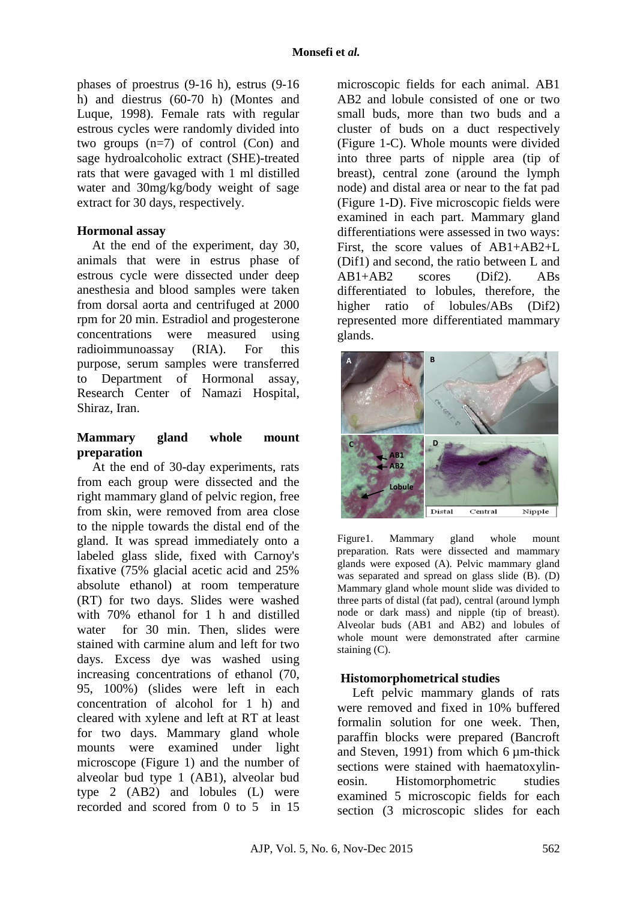phases of proestrus (9-16 h), estrus (9-16 h) and diestrus (60-70 h) (Montes and Luque, 1998). Female rats with regular estrous cycles were randomly divided into two groups (n=7) of control (Con) and sage hydroalcoholic extract (SHE)-treated rats that were gavaged with 1 ml distilled water and 30mg/kg/body weight of sage extract for 30 days, respectively.

#### **Hormonal assay**

At the end of the experiment, day 30, animals that were in estrus phase of estrous cycle were dissected under deep anesthesia and blood samples were taken from dorsal aorta and centrifuged at 2000 rpm for 20 min. Estradiol and progesterone concentrations were measured using radioimmunoassay (RIA). For this purpose, serum samples were transferred to Department of Hormonal assay, Research Center of Namazi Hospital, Shiraz, Iran.

### **Mammary gland whole mount preparation**

At the end of 30-day experiments, rats from each group were dissected and the right mammary gland of pelvic region, free from skin, were removed from area close to the nipple towards the distal end of the gland. It was spread immediately onto a labeled glass slide, fixed with Carnoy's fixative (75% glacial acetic acid and 25% absolute ethanol) at room temperature (RT) for two days. Slides were washed with 70% ethanol for 1 h and distilled water for 30 min. Then, slides were stained with carmine alum and left for two days. Excess dye was washed using increasing concentrations of ethanol (70, 95, 100%) (slides were left in each concentration of alcohol for 1 h) and cleared with xylene and left at RT at least for two days. Mammary gland whole mounts were examined under light microscope (Figure 1) and the number of alveolar bud type 1 (AB1), alveolar bud type 2 (AB2) and lobules (L) were recorded and scored from 0 to 5 in 15

microscopic fields for each animal. AB1 AB2 and lobule consisted of one or two small buds, more than two buds and a cluster of buds on a duct respectively (Figure 1-C). Whole mounts were divided into three parts of nipple area (tip of breast), central zone (around the lymph node) and distal area or near to the fat pad (Figure 1-D). Five microscopic fields were examined in each part. Mammary gland differentiations were assessed in two ways: First, the score values of AB1+AB2+L (Dif1) and second, the ratio between L and AB1+AB2 scores (Dif2). ABs differentiated to lobules, therefore, the higher ratio of lobules/ABs (Dif2) represented more differentiated mammary glands.



Figure1. Mammary gland whole mount preparation. Rats were dissected and mammary glands were exposed (A). Pelvic mammary gland was separated and spread on glass slide (B). (D) Mammary gland whole mount slide was divided to three parts of distal (fat pad), central (around lymph node or dark mass) and nipple (tip of breast). Alveolar buds (AB1 and AB2) and lobules of whole mount were demonstrated after carmine staining (C).

### **Histomorphometrical studies**

Left pelvic mammary glands of rats were removed and fixed in 10% buffered formalin solution for one week. Then, paraffin blocks were prepared (Bancroft and Steven, 1991) from which 6 µm-thick sections were stained with haematoxylineosin. Histomorphometric studies examined 5 microscopic fields for each section (3 microscopic slides for each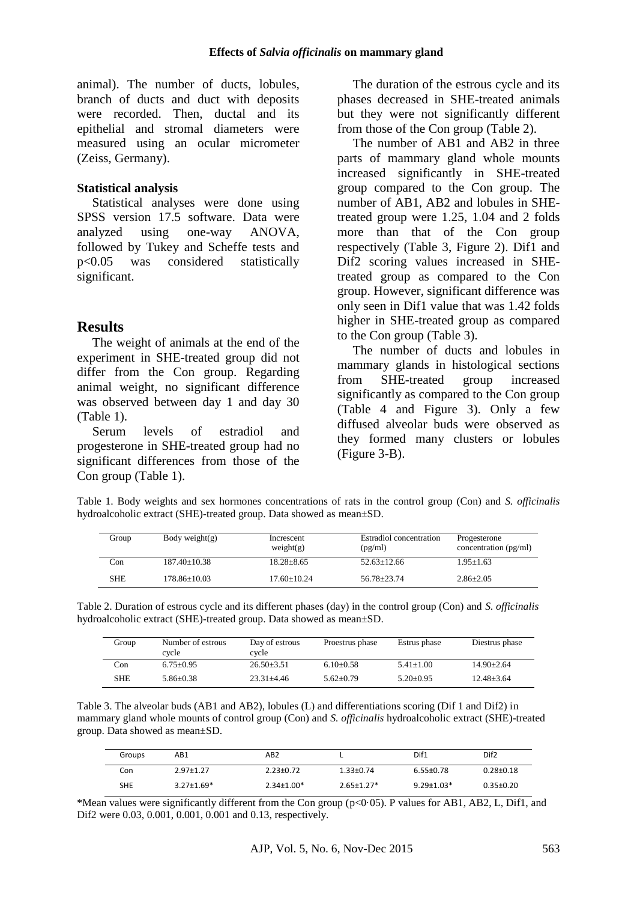animal). The number of ducts, lobules, branch of ducts and duct with deposits were recorded. Then, ductal and its epithelial and stromal diameters were measured using an ocular micrometer (Zeiss, Germany).

#### **Statistical analysis**

Statistical analyses were done using SPSS version 17.5 software. Data were analyzed using one-way ANOVA, followed by Tukey and Scheffe tests and p<0.05 was considered statistically significant.

## **Results**

The weight of animals at the end of the experiment in SHE-treated group did not differ from the Con group. Regarding animal weight, no significant difference was observed between day 1 and day 30 (Table 1).

Serum levels of estradiol and progesterone in SHE-treated group had no significant differences from those of the Con group (Table 1).

The duration of the estrous cycle and its phases decreased in SHE-treated animals but they were not significantly different from those of the Con group (Table 2).

The number of AB1 and AB2 in three parts of mammary gland whole mounts increased significantly in SHE-treated group compared to the Con group. The number of AB1, AB2 and lobules in SHEtreated group were 1.25, 1.04 and 2 folds more than that of the Con group respectively (Table 3, Figure 2). Dif1 and Dif2 scoring values increased in SHEtreated group as compared to the Con group. However, significant difference was only seen in Dif1 value that was 1.42 folds higher in SHE-treated group as compared to the Con group (Table 3).

The number of ducts and lobules in mammary glands in histological sections from SHE-treated group increased significantly as compared to the Con group (Table 4 and Figure 3). Only a few diffused alveolar buds were observed as they formed many clusters or lobules (Figure 3-B).

Table 1. Body weights and sex hormones concentrations of rats in the control group (Con) and *S. officinalis* hydroalcoholic extract (SHE)-treated group. Data showed as mean±SD.

| Group      | Body weight $(g)$  | Increscent<br>weight(g) | Estradiol concentration<br>(pg/ml) | Progesterone<br>concentration (pg/ml) |
|------------|--------------------|-------------------------|------------------------------------|---------------------------------------|
| Con        | $187.40 + 10.38$   | $18.28 \pm 8.65$        | $52.63 + 12.66$                    | $1.95 \pm 1.63$                       |
| <b>SHE</b> | $178.86 \pm 10.03$ | $17.60 + 10.24$         | 56.78+23.74                        | $2.86 \pm 2.05$                       |

Table 2. Duration of estrous cycle and its different phases (day) in the control group (Con) and *S. officinalis* hydroalcoholic extract (SHE)-treated group. Data showed as mean±SD.

| Group      | Number of estrous<br>cvcle | Day of estrous<br>cycle | Proestrus phase | Estrus phase  | Diestrus phase |
|------------|----------------------------|-------------------------|-----------------|---------------|----------------|
| Con        | $6.75 + 0.95$              | $26.50 + 3.51$          | $6.10+0.58$     | $5.41 + 1.00$ | $14.90 + 2.64$ |
| <b>SHE</b> | $5.86 + 0.38$              | $23.31 + 4.46$          | $5.62+0.79$     | $5.20+0.95$   | $12.48 + 3.64$ |

Table 3. The alveolar buds (AB1 and AB2), lobules (L) and differentiations scoring (Dif 1 and Dif2) in mammary gland whole mounts of control group (Con) and *S. officinalis* hydroalcoholic extract (SHE)-treated group. Data showed as mean±SD.

| Groups | AB1              | AB2              |                              | Dif1             | Dif <sub>2</sub> |
|--------|------------------|------------------|------------------------------|------------------|------------------|
| Con    | $2.97 + 1.27$    | $2.23 \pm 0.72$  | $1.33 + 0.74$                | $6.55 \pm 0.78$  | $0.28 + 0.18$    |
| SHE    | $3.27 \pm 1.69*$ | $2.34 \pm 1.00*$ | $2.65 \pm 1.27$ <sup>*</sup> | $9.29 \pm 1.03*$ | $0.35 \pm 0.20$  |

\*Mean values were significantly different from the Con group ( $p<0.05$ ). P values for AB1, AB2, L, Dif1, and Dif2 were 0.03, 0.001, 0.001, 0.001 and 0.13, respectively.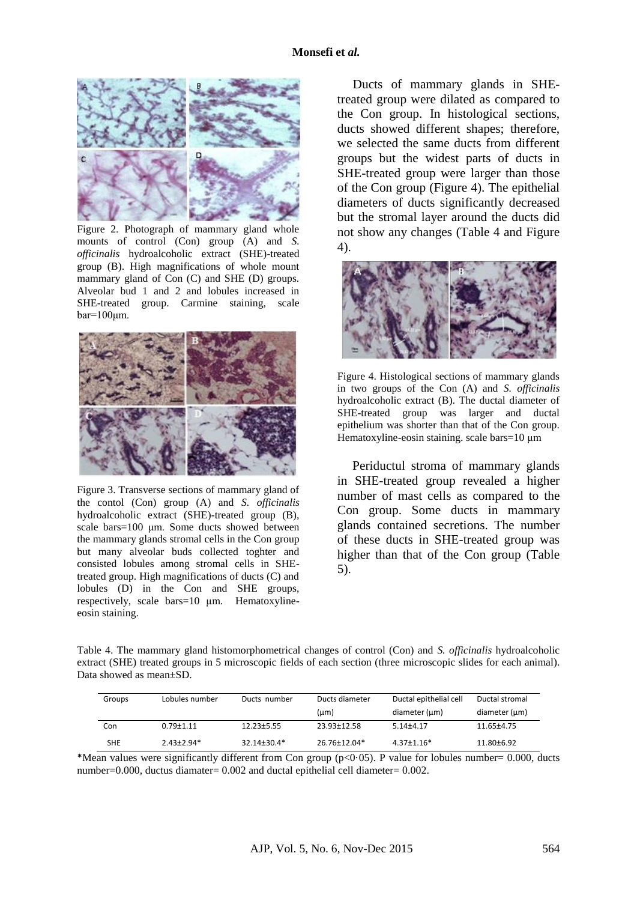

Figure 2. Photograph of mammary gland whole mounts of control (Con) group (A) and *S*. *officinalis* hydroalcoholic extract (SHE)-treated group (B). High magnifications of whole mount mammary gland of Con (C) and SHE (D) groups. Alveolar bud 1 and 2 and lobules increased in SHE-treated group. Carmine staining, scale  $bar=100 \mu m$ .



Figure 3. Transverse sections of mammary gland of the contol (Con) group (A) and *S. officinalis* hydroalcoholic extract (SHE)-treated group (B), scale bars=100 μm. Some ducts showed between the mammary glands stromal cells in the Con group but many alveolar buds collected toghter and consisted lobules among stromal cells in SHEtreated group. High magnifications of ducts (C) and lobules (D) in the Con and SHE groups, respectively, scale bars=10 μm. Hematoxylineeosin staining.

Ducts of mammary glands in SHEtreated group were dilated as compared to the Con group. In histological sections, ducts showed different shapes; therefore, we selected the same ducts from different groups but the widest parts of ducts in SHE-treated group were larger than those of the Con group (Figure 4). The epithelial diameters of ducts significantly decreased but the stromal layer around the ducts did not show any changes (Table 4 and Figure 4).



Figure 4. Histological sections of mammary glands in two groups of the Con (A) and *S. officinalis* hydroalcoholic extract (B). The ductal diameter of SHE-treated group was larger and ductal epithelium was shorter than that of the Con group. Hematoxyline-eosin staining. scale bars=10 μm

Periductul stroma of mammary glands in SHE-treated group revealed a higher number of mast cells as compared to the Con group. Some ducts in mammary glands contained secretions. The number of these ducts in SHE-treated group was higher than that of the Con group (Table 5).

Table 4. The mammary gland histomorphometrical changes of control (Con) and *S. officinalis* hydroalcoholic extract (SHE) treated groups in 5 microscopic fields of each section (three microscopic slides for each animal). Data showed as mean±SD.

| Groups     | Lobules number  | Ducts number      | Ducts diameter<br>$(\mu m)$ | Ductal epithelial cell<br>diameter (µm) | Ductal stromal<br>diameter (µm) |
|------------|-----------------|-------------------|-----------------------------|-----------------------------------------|---------------------------------|
| Con        | $0.79 \pm 1.11$ | $12.23 \pm 5.55$  | 23.93±12.58                 | $5.14\pm4.17$                           | 11.65±4.75                      |
| <b>SHE</b> | $2.43\pm2.94*$  | $32.14 \pm 30.4*$ | 26.76±12.04*                | $4.37 \pm 1.16*$                        | 11.80±6.92                      |

\*Mean values were significantly different from Con group ( $p<0.05$ ). P value for lobules number= 0.000, ducts number=0.000, ductus diamater= 0.002 and ductal epithelial cell diameter= 0.002.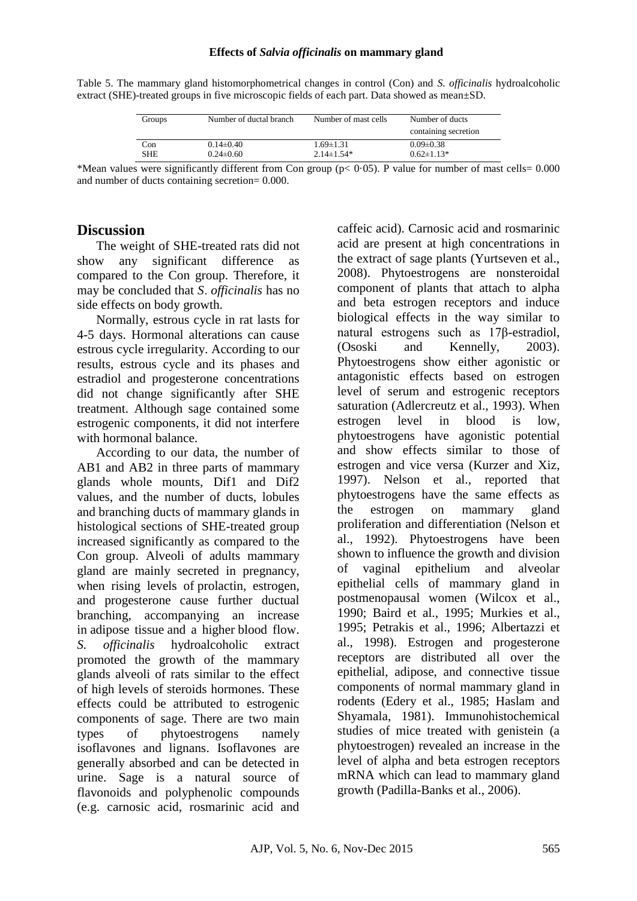#### **Effects of** *Salvia officinalis* **on mammary gland**

Table 5. The mammary gland histomorphometrical changes in control (Con) and *S. officinalis* hydroalcoholic extract (SHE)-treated groups in five microscopic fields of each part. Data showed as mean±SD.

| Groups     | Number of ductal branch | Number of mast cells | Number of ducts<br>containing secretion |
|------------|-------------------------|----------------------|-----------------------------------------|
| Con        | $0.14\pm0.40$           | $1.69 \pm 1.31$      | $0.09 \pm 0.38$                         |
| <b>SHE</b> | $0.24\pm 0.60$          | $2.14 \pm 1.54*$     | $0.62 \pm 1.13*$                        |

\*Mean values were significantly different from Con group ( $p < 0.05$ ). P value for number of mast cells= 0.000 and number of ducts containing secretion= 0.000.

### **Discussion**

The weight of SHE-treated rats did not show any significant difference as compared to the Con group. Therefore, it may be concluded that *S*. *officinalis* has no side effects on body growth.

Normally, estrous cycle in rat lasts for 4-5 days. Hormonal alterations can cause estrous cycle irregularity. According to our results, estrous cycle and its phases and estradiol and progesterone concentrations did not change significantly after SHE treatment. Although sage contained some estrogenic components, it did not interfere with hormonal balance.

According to our data, the number of AB1 and AB2 in three parts of mammary glands whole mounts, Dif1 and Dif2 values, and the number of ducts, lobules and branching ducts of mammary glands in histological sections of SHE-treated group increased significantly as compared to the Con group. Alveoli of adults mammary gland are mainly secreted in pregnancy, when rising levels of [prolactin,](http://en.wikipedia.org/wiki/Prolactin) estrogen, and progesterone cause further ductual branching, accompanying an increase in [adipose tissue](http://en.wikipedia.org/wiki/Adipose_tissue) and a higher [blood flow.](http://en.wikipedia.org/wiki/Blood_flow) *S. officinalis* hydroalcoholic extract promoted the growth of the mammary glands alveoli of rats similar to the effect of high levels of steroids hormones. These effects could be attributed to estrogenic components of sage. There are two main types of phytoestrogens namely isoflavones and lignans. Isoflavones are generally absorbed and can be detected in urine. Sage is a natural source of flavonoids and polyphenolic compounds (e.g. carnosic acid, rosmarinic acid and

caffeic acid). Carnosic acid and rosmarinic acid are present at high concentrations in the extract of sage plants (Yurtseven et al., 2008). Phytoestrogens are nonsteroidal component of plants that attach to alpha and beta estrogen receptors and induce biological effects in the way similar to natural estrogens such as 17β-estradiol, (Ososki and Kennelly, 2003). Phytoestrogens show either agonistic or antagonistic effects based on estrogen level of serum and estrogenic receptors saturation (Adlercreutz et al., 1993). When estrogen level in blood is low, phytoestrogens have agonistic potential and show effects similar to those of estrogen and vice versa (Kurzer and Xiz, 1997). Nelson et al., reported that phytoestrogens have the same effects as the estrogen on mammary gland proliferation and differentiation (Nelson et al., 1992). Phytoestrogens have been shown to influence the growth and division of vaginal epithelium and alveolar epithelial cells of mammary gland in postmenopausal women (Wilcox et al., 1990; Baird et al., 1995; Murkies et al., 1995; Petrakis et al., 1996; Albertazzi et al., 1998). Estrogen and progesterone receptors are distributed all over the epithelial, adipose, and connective tissue components of normal mammary gland in rodents (Edery et al., 1985; Haslam and Shyamala, 1981). Immunohistochemical studies of mice treated with genistein (a phytoestrogen) revealed an increase in the level of alpha and beta estrogen receptors mRNA which can lead to mammary gland growth (Padilla-Banks et al., 2006).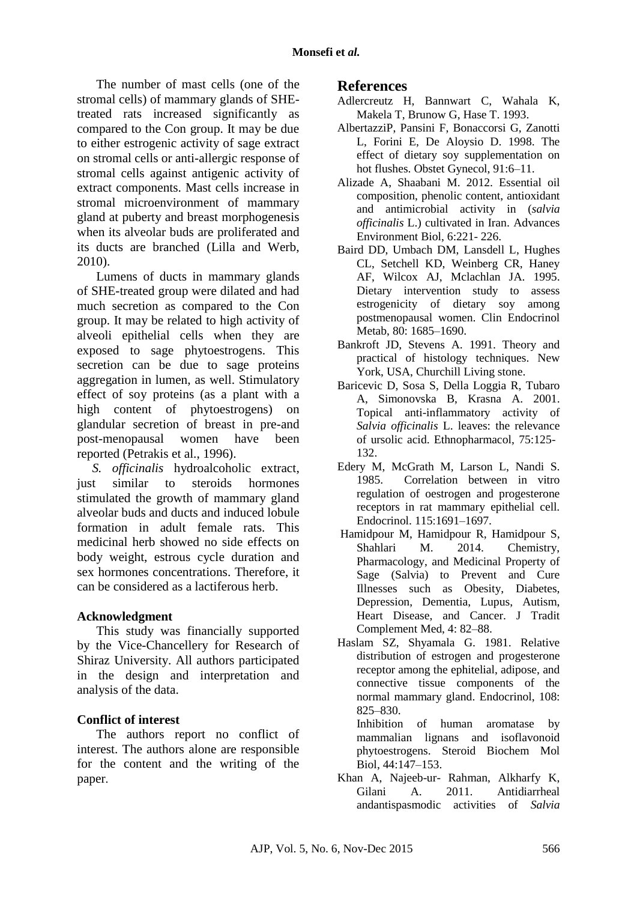The number of mast cells (one of the stromal cells) of mammary glands of SHEtreated rats increased significantly as compared to the Con group. It may be due to either estrogenic activity of sage extract on stromal cells or anti-allergic response of stromal cells against antigenic activity of extract components. Mast cells increase in stromal microenvironment of mammary gland at puberty and breast morphogenesis when its alveolar buds are proliferated and its ducts are branched (Lilla and Werb, 2010).

Lumens of ducts in mammary glands of SHE-treated group were dilated and had much secretion as compared to the Con group. It may be related to high activity of alveoli epithelial cells when they are exposed to sage phytoestrogens. This secretion can be due to sage proteins aggregation in lumen, as well. Stimulatory effect of soy proteins (as a plant with a high content of phytoestrogens) on glandular secretion of breast in pre-and post-menopausal women have been reported (Petrakis et al., 1996).

*S. officinalis* hydroalcoholic extract, just similar to steroids hormones stimulated the growth of mammary gland alveolar buds and ducts and induced lobule formation in adult female rats. This medicinal herb showed no side effects on body weight, estrous cycle duration and sex hormones concentrations. Therefore, it can be considered as a lactiferous herb.

## **Acknowledgment**

This study was financially supported by the Vice-Chancellery for Research of Shiraz University. All authors participated in the design and interpretation and analysis of the data.

## **Conflict of interest**

The authors report no conflict of interest. The authors alone are responsible for the content and the writing of the paper.

### **References**

- Adlercreutz H, Bannwart C, Wahala K, Makela T, Brunow G, Hase T. 1993.
- AlbertazziP, Pansini F, Bonaccorsi G, Zanotti L, Forini E, De Aloysio D. 1998. The effect of dietary soy supplementation on hot flushes. Obstet Gynecol, 91:6–11.
- Alizade A, Shaabani M. 2012. Essential oil composition, phenolic content, antioxidant and antimicrobial activity in (*salvia officinalis* L.) cultivated in Iran. Advances Environment Biol, 6:221- 226.
- Baird DD, Umbach DM, Lansdell L, [Hughes](http://press.endocrine.org/action/doSearch?ContribStored=Hughes%2C+C+L) CL, [Setchell](http://press.endocrine.org/action/doSearch?ContribStored=Setchell%2C+K+D) KD, [Weinberg](http://press.endocrine.org/action/doSearch?ContribStored=Weinberg%2C+C+R) CR, [Haney](http://press.endocrine.org/action/doSearch?ContribStored=Haney%2C+A+F) AF, [Wilcox](http://press.endocrine.org/action/doSearch?ContribStored=Wilcox%2C+A+J) AJ, [Mclachlan](http://press.endocrine.org/action/doSearch?ContribStored=Mclachlan%2C+J+A) JA. 1995. Dietary intervention study to assess estrogenicity of dietary soy among postmenopausal women. Clin Endocrinol Metab, 80: 1685–1690.
- Bankroft JD, Stevens A. 1991. Theory and practical of histology techniques. New York, USA, Churchill Living stone.
- Baricevic D, Sosa S, Della Loggia R, Tubaro A, Simonovska B, Krasna A. 2001. Topical anti-inflammatory activity of *Salvia officinalis* L. leaves: the relevance of ursolic acid. Ethnopharmacol, 75:125- 132.
- Edery M, McGrath M, Larson L, Nandi S. 1985. Correlation between in vitro regulation of oestrogen and progesterone receptors in rat mammary epithelial cell. Endocrinol. 115:1691–1697.
- [Hamidpour](http://www.ncbi.nlm.nih.gov/pubmed/?term=Hamidpour%20M%5Bauth%5D) M, [Hamidpour](http://www.ncbi.nlm.nih.gov/pubmed/?term=Hamidpour%20R%5Bauth%5D) R, [Hamidpour](http://www.ncbi.nlm.nih.gov/pubmed/?term=Hamidpour%20S%5Bauth%5D) S, Shahlari M. 2014. Chemistry, Pharmacology, and Medicinal Property of Sage (Salvia) to Prevent and Cure Illnesses such as Obesity, Diabetes, Depression, Dementia, Lupus, Autism, Heart Disease, and Cancer. J Tradit Complement Med, 4: 82–88.
- Haslam SZ, Shyamala G. 1981. Relative distribution of estrogen and progesterone receptor among the ephitelial, adipose, and connective tissue components of the normal mammary gland. Endocrinol, 108: 825–830.

Inhibition of human aromatase by mammalian lignans and isoflavonoid phytoestrogens. Steroid Biochem Mol Biol, 44:147–153.

Khan A, Najeeb-ur- Rahman, Alkharfy K, Gilani A. 2011. Antidiarrheal andantispasmodic activities of *Salvia*